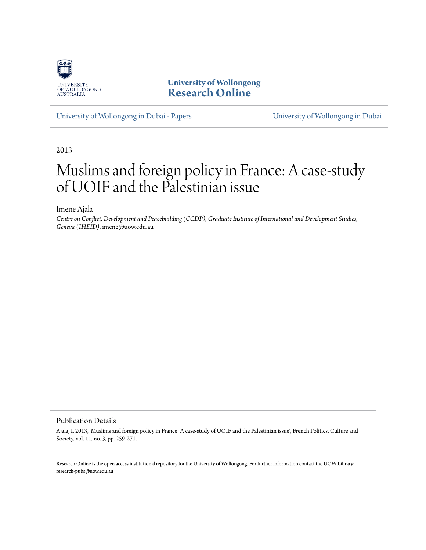

**University of Wollongong [Research Online](http://ro.uow.edu.au)**

[University of Wollongong in Dubai - Papers](http://ro.uow.edu.au/dubaipapers) [University of Wollongong in Dubai](http://ro.uow.edu.au/dubai)

2013

# Muslims and foreign policy in France: A case-study of UOIF and the Palestinian issue

Imene Ajala

*Centre on Conflict, Development and Peacebuilding (CCDP), Graduate Institute of International and Development Studies, Geneva (IHEID)*, imene@uow.edu.au

#### Publication Details

Ajala, I. 2013, 'Muslims and foreign policy in France: A case-study of UOIF and the Palestinian issue', French Politics, Culture and Society, vol. 11, no. 3, pp. 259-271.

Research Online is the open access institutional repository for the University of Wollongong. For further information contact the UOW Library: research-pubs@uow.edu.au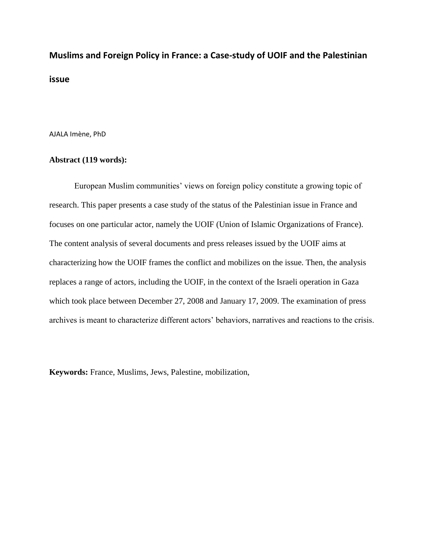## **Muslims and Foreign Policy in France: a Case-study of UOIF and the Palestinian issue**

AJALA Imène, PhD

#### **Abstract (119 words):**

European Muslim communities' views on foreign policy constitute a growing topic of research. This paper presents a case study of the status of the Palestinian issue in France and focuses on one particular actor, namely the UOIF (Union of Islamic Organizations of France). The content analysis of several documents and press releases issued by the UOIF aims at characterizing how the UOIF frames the conflict and mobilizes on the issue. Then, the analysis replaces a range of actors, including the UOIF, in the context of the Israeli operation in Gaza which took place between December 27, 2008 and January 17, 2009. The examination of press archives is meant to characterize different actors' behaviors, narratives and reactions to the crisis.

**Keywords:** France, Muslims, Jews, Palestine, mobilization,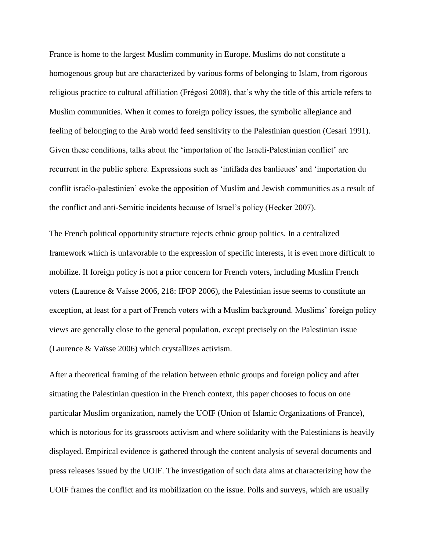France is home to the largest Muslim community in Europe. Muslims do not constitute a homogenous group but are characterized by various forms of belonging to Islam, from rigorous religious practice to cultural affiliation (Frégosi 2008), that's why the title of this article refers to Muslim communities. When it comes to foreign policy issues, the symbolic allegiance and feeling of belonging to the Arab world feed sensitivity to the Palestinian question (Cesari 1991). Given these conditions, talks about the 'importation of the Israeli-Palestinian conflict' are recurrent in the public sphere. Expressions such as 'intifada des banlieues' and 'importation du conflit israélo-palestinien' evoke the opposition of Muslim and Jewish communities as a result of the conflict and anti-Semitic incidents because of Israel's policy (Hecker 2007).

The French political opportunity structure rejects ethnic group politics. In a centralized framework which is unfavorable to the expression of specific interests, it is even more difficult to mobilize. If foreign policy is not a prior concern for French voters, including Muslim French voters (Laurence & Vaïsse 2006, 218: IFOP 2006), the Palestinian issue seems to constitute an exception, at least for a part of French voters with a Muslim background. Muslims' foreign policy views are generally close to the general population, except precisely on the Palestinian issue (Laurence & Vaïsse 2006) which crystallizes activism.

After a theoretical framing of the relation between ethnic groups and foreign policy and after situating the Palestinian question in the French context, this paper chooses to focus on one particular Muslim organization, namely the UOIF (Union of Islamic Organizations of France), which is notorious for its grassroots activism and where solidarity with the Palestinians is heavily displayed. Empirical evidence is gathered through the content analysis of several documents and press releases issued by the UOIF. The investigation of such data aims at characterizing how the UOIF frames the conflict and its mobilization on the issue. Polls and surveys, which are usually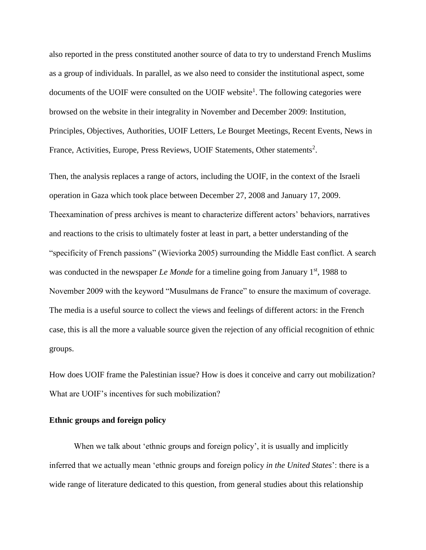also reported in the press constituted another source of data to try to understand French Muslims as a group of individuals. In parallel, as we also need to consider the institutional aspect, some documents of the UOIF were consulted on the UOIF website<sup>1</sup>. The following categories were browsed on the website in their integrality in November and December 2009: Institution, Principles, Objectives, Authorities, UOIF Letters, Le Bourget Meetings, Recent Events, News in France, Activities, Europe, Press Reviews, UOIF Statements, Other statements<sup>2</sup>.

Then, the analysis replaces a range of actors, including the UOIF, in the context of the Israeli operation in Gaza which took place between December 27, 2008 and January 17, 2009. Theexamination of press archives is meant to characterize different actors' behaviors, narratives and reactions to the crisis to ultimately foster at least in part, a better understanding of the "specificity of French passions" (Wieviorka 2005) surrounding the Middle East conflict. A search was conducted in the newspaper *Le Monde* for a timeline going from January 1<sup>st</sup>, 1988 to November 2009 with the keyword "Musulmans de France" to ensure the maximum of coverage. The media is a useful source to collect the views and feelings of different actors: in the French case, this is all the more a valuable source given the rejection of any official recognition of ethnic groups.

How does UOIF frame the Palestinian issue? How is does it conceive and carry out mobilization? What are UOIF's incentives for such mobilization?

#### **Ethnic groups and foreign policy**

When we talk about 'ethnic groups and foreign policy', it is usually and implicitly inferred that we actually mean 'ethnic groups and foreign policy *in the United States*': there is a wide range of literature dedicated to this question, from general studies about this relationship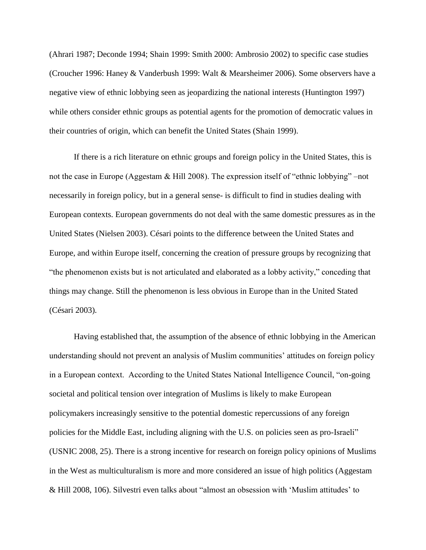(Ahrari 1987; Deconde 1994; Shain 1999: Smith 2000: Ambrosio 2002) to specific case studies (Croucher 1996: Haney & Vanderbush 1999: Walt & Mearsheimer 2006). Some observers have a negative view of ethnic lobbying seen as jeopardizing the national interests (Huntington 1997) while others consider ethnic groups as potential agents for the promotion of democratic values in their countries of origin, which can benefit the United States (Shain 1999).

If there is a rich literature on ethnic groups and foreign policy in the United States, this is not the case in Europe (Aggestam & Hill 2008). The expression itself of "ethnic lobbying" –not necessarily in foreign policy, but in a general sense- is difficult to find in studies dealing with European contexts. European governments do not deal with the same domestic pressures as in the United States (Nielsen 2003). Césari points to the difference between the United States and Europe, and within Europe itself, concerning the creation of pressure groups by recognizing that "the phenomenon exists but is not articulated and elaborated as a lobby activity," conceding that things may change. Still the phenomenon is less obvious in Europe than in the United Stated (Césari 2003).

Having established that, the assumption of the absence of ethnic lobbying in the American understanding should not prevent an analysis of Muslim communities' attitudes on foreign policy in a European context. According to the United States National Intelligence Council, "on-going societal and political tension over integration of Muslims is likely to make European policymakers increasingly sensitive to the potential domestic repercussions of any foreign policies for the Middle East, including aligning with the U.S. on policies seen as pro-Israeli" (USNIC 2008, 25). There is a strong incentive for research on foreign policy opinions of Muslims in the West as multiculturalism is more and more considered an issue of high politics (Aggestam & Hill 2008, 106). Silvestri even talks about "almost an obsession with 'Muslim attitudes' to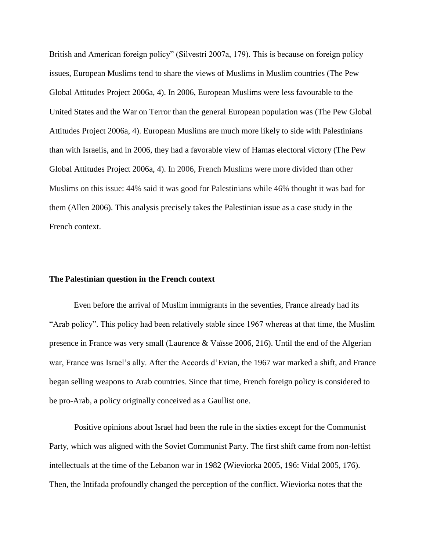British and American foreign policy" (Silvestri 2007a, 179). This is because on foreign policy issues, European Muslims tend to share the views of Muslims in Muslim countries (The Pew Global Attitudes Project 2006a, 4). In 2006, European Muslims were less favourable to the United States and the War on Terror than the general European population was (The Pew Global Attitudes Project 2006a, 4). European Muslims are much more likely to side with Palestinians than with Israelis, and in 2006, they had a favorable view of Hamas electoral victory (The Pew Global Attitudes Project 2006a, 4). In 2006, French Muslims were more divided than other Muslims on this issue: 44% said it was good for Palestinians while 46% thought it was bad for them (Allen 2006). This analysis precisely takes the Palestinian issue as a case study in the French context.

#### **The Palestinian question in the French context**

Even before the arrival of Muslim immigrants in the seventies, France already had its "Arab policy". This policy had been relatively stable since 1967 whereas at that time, the Muslim presence in France was very small (Laurence & Vaïsse 2006, 216). Until the end of the Algerian war, France was Israel's ally. After the Accords d'Evian, the 1967 war marked a shift, and France began selling weapons to Arab countries. Since that time, French foreign policy is considered to be pro-Arab, a policy originally conceived as a Gaullist one.

Positive opinions about Israel had been the rule in the sixties except for the Communist Party, which was aligned with the Soviet Communist Party. The first shift came from non-leftist intellectuals at the time of the Lebanon war in 1982 (Wieviorka 2005, 196: Vidal 2005, 176). Then, the Intifada profoundly changed the perception of the conflict. Wieviorka notes that the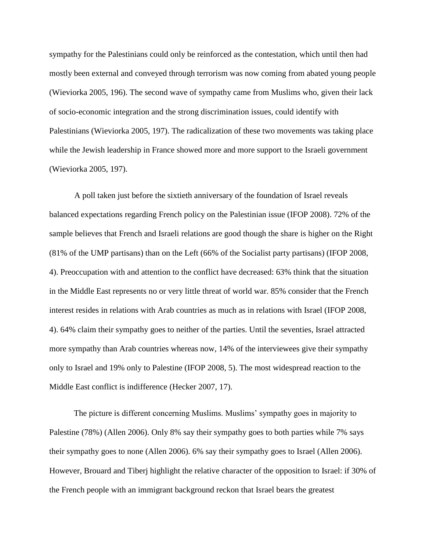sympathy for the Palestinians could only be reinforced as the contestation, which until then had mostly been external and conveyed through terrorism was now coming from abated young people (Wieviorka 2005, 196). The second wave of sympathy came from Muslims who, given their lack of socio-economic integration and the strong discrimination issues, could identify with Palestinians (Wieviorka 2005, 197). The radicalization of these two movements was taking place while the Jewish leadership in France showed more and more support to the Israeli government (Wieviorka 2005, 197).

A poll taken just before the sixtieth anniversary of the foundation of Israel reveals balanced expectations regarding French policy on the Palestinian issue (IFOP 2008). 72% of the sample believes that French and Israeli relations are good though the share is higher on the Right (81% of the UMP partisans) than on the Left (66% of the Socialist party partisans) (IFOP 2008, 4). Preoccupation with and attention to the conflict have decreased: 63% think that the situation in the Middle East represents no or very little threat of world war. 85% consider that the French interest resides in relations with Arab countries as much as in relations with Israel (IFOP 2008, 4). 64% claim their sympathy goes to neither of the parties. Until the seventies, Israel attracted more sympathy than Arab countries whereas now, 14% of the interviewees give their sympathy only to Israel and 19% only to Palestine (IFOP 2008, 5). The most widespread reaction to the Middle East conflict is indifference (Hecker 2007, 17).

The picture is different concerning Muslims. Muslims' sympathy goes in majority to Palestine (78%) (Allen 2006). Only 8% say their sympathy goes to both parties while 7% says their sympathy goes to none (Allen 2006). 6% say their sympathy goes to Israel (Allen 2006). However, Brouard and Tiberj highlight the relative character of the opposition to Israel: if 30% of the French people with an immigrant background reckon that Israel bears the greatest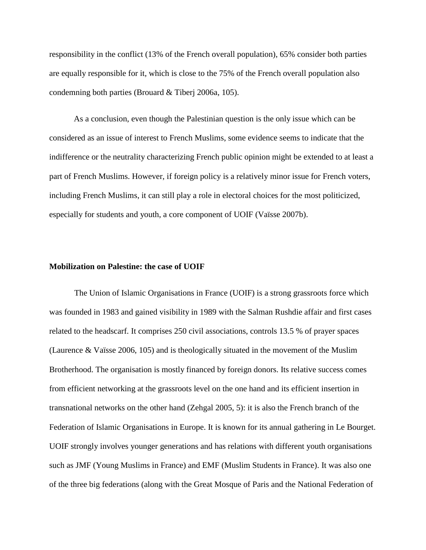responsibility in the conflict (13% of the French overall population), 65% consider both parties are equally responsible for it, which is close to the 75% of the French overall population also condemning both parties (Brouard & Tiberj 2006a, 105).

As a conclusion, even though the Palestinian question is the only issue which can be considered as an issue of interest to French Muslims, some evidence seems to indicate that the indifference or the neutrality characterizing French public opinion might be extended to at least a part of French Muslims. However, if foreign policy is a relatively minor issue for French voters, including French Muslims, it can still play a role in electoral choices for the most politicized, especially for students and youth, a core component of UOIF (Vaïsse 2007b).

#### **Mobilization on Palestine: the case of UOIF**

The Union of Islamic Organisations in France (UOIF) is a strong grassroots force which was founded in 1983 and gained visibility in 1989 with the Salman Rushdie affair and first cases related to the headscarf. It comprises 250 civil associations, controls 13.5 % of prayer spaces (Laurence & Vaïsse 2006, 105) and is theologically situated in the movement of the Muslim Brotherhood. The organisation is mostly financed by foreign donors. Its relative success comes from efficient networking at the grassroots level on the one hand and its efficient insertion in transnational networks on the other hand (Zehgal 2005, 5): it is also the French branch of the Federation of Islamic Organisations in Europe. It is known for its annual gathering in Le Bourget. UOIF strongly involves younger generations and has relations with different youth organisations such as JMF (Young Muslims in France) and EMF (Muslim Students in France). It was also one of the three big federations (along with the Great Mosque of Paris and the National Federation of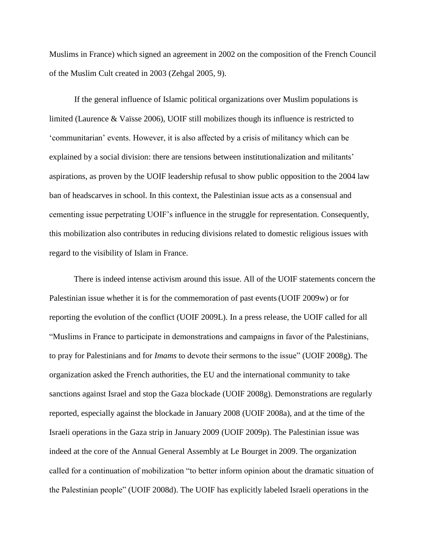Muslims in France) which signed an agreement in 2002 on the composition of the French Council of the Muslim Cult created in 2003 (Zehgal 2005, 9).

If the general influence of Islamic political organizations over Muslim populations is limited (Laurence & Vaïsse 2006), UOIF still mobilizes though its influence is restricted to 'communitarian' events. However, it is also affected by a crisis of militancy which can be explained by a social division: there are tensions between institutionalization and militants' aspirations, as proven by the UOIF leadership refusal to show public opposition to the 2004 law ban of headscarves in school. In this context, the Palestinian issue acts as a consensual and cementing issue perpetrating UOIF's influence in the struggle for representation. Consequently, this mobilization also contributes in reducing divisions related to domestic religious issues with regard to the visibility of Islam in France.

There is indeed intense activism around this issue. All of the UOIF statements concern the Palestinian issue whether it is for the commemoration of past events(UOIF 2009w) or for reporting the evolution of the conflict (UOIF 2009L). In a press release, the UOIF called for all "Muslims in France to participate in demonstrations and campaigns in favor of the Palestinians, to pray for Palestinians and for *Imams* to devote their sermons to the issue" (UOIF 2008g). The organization asked the French authorities, the EU and the international community to take sanctions against Israel and stop the Gaza blockade (UOIF 2008g). Demonstrations are regularly reported, especially against the blockade in January 2008 (UOIF 2008a), and at the time of the Israeli operations in the Gaza strip in January 2009 (UOIF 2009p). The Palestinian issue was indeed at the core of the Annual General Assembly at Le Bourget in 2009. The organization called for a continuation of mobilization "to better inform opinion about the dramatic situation of the Palestinian people" (UOIF 2008d). The UOIF has explicitly labeled Israeli operations in the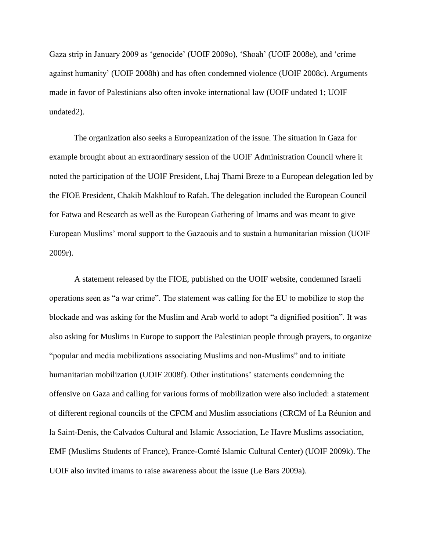Gaza strip in January 2009 as 'genocide' (UOIF 2009o), 'Shoah' (UOIF 2008e), and 'crime against humanity' (UOIF 2008h) and has often condemned violence (UOIF 2008c). Arguments made in favor of Palestinians also often invoke international law (UOIF undated 1; UOIF undated2).

The organization also seeks a Europeanization of the issue. The situation in Gaza for example brought about an extraordinary session of the UOIF Administration Council where it noted the participation of the UOIF President, Lhaj Thami Breze to a European delegation led by the FIOE President, Chakib Makhlouf to Rafah. The delegation included the European Council for Fatwa and Research as well as the European Gathering of Imams and was meant to give European Muslims' moral support to the Gazaouis and to sustain a humanitarian mission (UOIF 2009r).

A statement released by the FIOE, published on the UOIF website, condemned Israeli operations seen as "a war crime". The statement was calling for the EU to mobilize to stop the blockade and was asking for the Muslim and Arab world to adopt "a dignified position". It was also asking for Muslims in Europe to support the Palestinian people through prayers, to organize "popular and media mobilizations associating Muslims and non-Muslims" and to initiate humanitarian mobilization (UOIF 2008f). Other institutions' statements condemning the offensive on Gaza and calling for various forms of mobilization were also included: a statement of different regional councils of the CFCM and Muslim associations (CRCM of La Réunion and la Saint-Denis, the Calvados Cultural and Islamic Association, Le Havre Muslims association, EMF (Muslims Students of France), France-Comté Islamic Cultural Center) (UOIF 2009k). The UOIF also invited imams to raise awareness about the issue (Le Bars 2009a).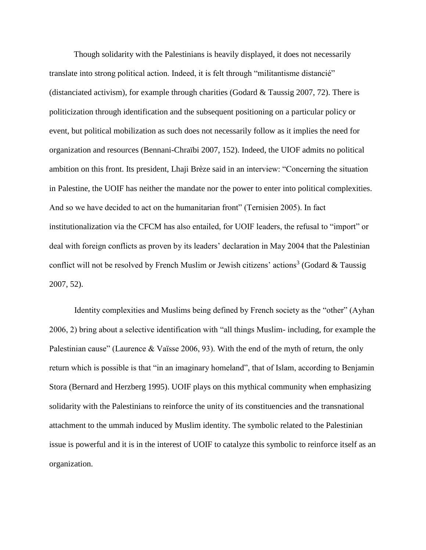Though solidarity with the Palestinians is heavily displayed, it does not necessarily translate into strong political action. Indeed, it is felt through "militantisme distancié" (distanciated activism), for example through charities (Godard & Taussig 2007, 72). There is politicization through identification and the subsequent positioning on a particular policy or event, but political mobilization as such does not necessarily follow as it implies the need for organization and resources (Bennani-Chraïbi 2007, 152). Indeed, the UIOF admits no political ambition on this front. Its president, Lhaji Brèze said in an interview: "Concerning the situation in Palestine, the UOIF has neither the mandate nor the power to enter into political complexities. And so we have decided to act on the humanitarian front" (Ternisien 2005). In fact institutionalization via the CFCM has also entailed, for UOIF leaders, the refusal to "import" or deal with foreign conflicts as proven by its leaders' declaration in May 2004 that the Palestinian conflict will not be resolved by French Muslim or Jewish citizens' actions<sup>3</sup> (Godard & Taussig 2007, 52).

Identity complexities and Muslims being defined by French society as the "other" (Ayhan 2006, 2) bring about a selective identification with "all things Muslim- including, for example the Palestinian cause" (Laurence & Vaïsse 2006, 93). With the end of the myth of return, the only return which is possible is that "in an imaginary homeland", that of Islam, according to Benjamin Stora (Bernard and Herzberg 1995). UOIF plays on this mythical community when emphasizing solidarity with the Palestinians to reinforce the unity of its constituencies and the transnational attachment to the ummah induced by Muslim identity. The symbolic related to the Palestinian issue is powerful and it is in the interest of UOIF to catalyze this symbolic to reinforce itself as an organization.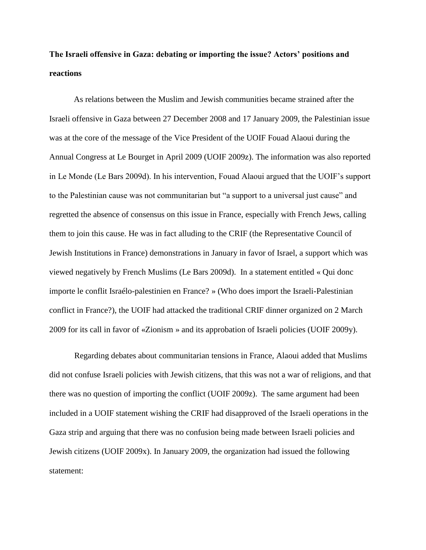### **The Israeli offensive in Gaza: debating or importing the issue? Actors' positions and reactions**

As relations between the Muslim and Jewish communities became strained after the Israeli offensive in Gaza between 27 December 2008 and 17 January 2009, the Palestinian issue was at the core of the message of the Vice President of the UOIF Fouad Alaoui during the Annual Congress at Le Bourget in April 2009 (UOIF 2009z). The information was also reported in Le Monde (Le Bars 2009d). In his intervention, Fouad Alaoui argued that the UOIF's support to the Palestinian cause was not communitarian but "a support to a universal just cause" and regretted the absence of consensus on this issue in France, especially with French Jews, calling them to join this cause. He was in fact alluding to the CRIF (the Representative Council of Jewish Institutions in France) demonstrations in January in favor of Israel, a support which was viewed negatively by French Muslims (Le Bars 2009d). In a statement entitled « Qui donc importe le conflit Israélo-palestinien en France? » (Who does import the Israeli-Palestinian conflict in France?), the UOIF had attacked the traditional CRIF dinner organized on 2 March 2009 for its call in favor of «Zionism » and its approbation of Israeli policies (UOIF 2009y).

Regarding debates about communitarian tensions in France, Alaoui added that Muslims did not confuse Israeli policies with Jewish citizens, that this was not a war of religions, and that there was no question of importing the conflict (UOIF 2009z). The same argument had been included in a UOIF statement wishing the CRIF had disapproved of the Israeli operations in the Gaza strip and arguing that there was no confusion being made between Israeli policies and Jewish citizens (UOIF 2009x). In January 2009, the organization had issued the following statement: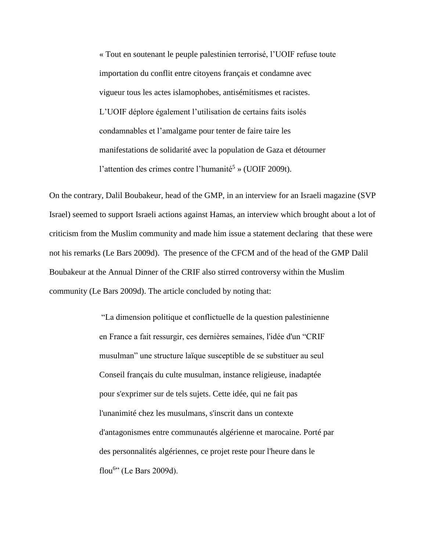« Tout en soutenant le peuple palestinien terrorisé, l'UOIF refuse toute importation du conflit entre citoyens français et condamne avec vigueur tous les actes islamophobes, antisémitismes et racistes. L'UOIF déplore également l'utilisation de certains faits isolés condamnables et l'amalgame pour tenter de faire taire les manifestations de solidarité avec la population de Gaza et détourner l'attention des crimes contre l'humanité<sup>5</sup> » (UOIF 2009t).

On the contrary, Dalil Boubakeur, head of the GMP, in an interview for an Israeli magazine (SVP Israel) seemed to support Israeli actions against Hamas, an interview which brought about a lot of criticism from the Muslim community and made him issue a statement declaring that these were not his remarks (Le Bars 2009d). The presence of the CFCM and of the head of the GMP Dalil Boubakeur at the Annual Dinner of the CRIF also stirred controversy within the Muslim community (Le Bars 2009d). The article concluded by noting that:

> "La dimension politique et conflictuelle de la question palestinienne en France a fait ressurgir, ces dernières semaines, l'idée d'un "CRIF musulman" une structure laïque susceptible de se substituer au seul Conseil français du culte musulman, instance religieuse, inadaptée pour s'exprimer sur de tels sujets. Cette idée, qui ne fait pas l'unanimité chez les musulmans, s'inscrit dans un contexte d'antagonismes entre communautés algérienne et marocaine. Porté par des personnalités algériennes, ce projet reste pour l'heure dans le flou<sup>6</sup>" (Le Bars 2009d).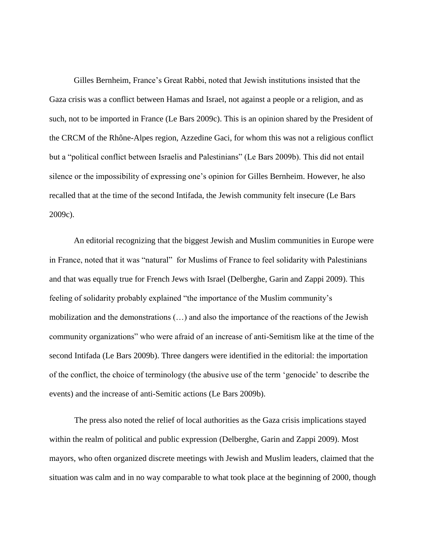Gilles Bernheim, France's Great Rabbi, noted that Jewish institutions insisted that the Gaza crisis was a conflict between Hamas and Israel, not against a people or a religion, and as such, not to be imported in France (Le Bars 2009c). This is an opinion shared by the President of the CRCM of the Rhône-Alpes region, Azzedine Gaci, for whom this was not a religious conflict but a "political conflict between Israelis and Palestinians" (Le Bars 2009b). This did not entail silence or the impossibility of expressing one's opinion for Gilles Bernheim. However, he also recalled that at the time of the second Intifada, the Jewish community felt insecure (Le Bars 2009c).

An editorial recognizing that the biggest Jewish and Muslim communities in Europe were in France, noted that it was "natural" for Muslims of France to feel solidarity with Palestinians and that was equally true for French Jews with Israel (Delberghe, Garin and Zappi 2009). This feeling of solidarity probably explained "the importance of the Muslim community's mobilization and the demonstrations (…) and also the importance of the reactions of the Jewish community organizations" who were afraid of an increase of anti-Semitism like at the time of the second Intifada (Le Bars 2009b). Three dangers were identified in the editorial: the importation of the conflict, the choice of terminology (the abusive use of the term 'genocide' to describe the events) and the increase of anti-Semitic actions (Le Bars 2009b).

The press also noted the relief of local authorities as the Gaza crisis implications stayed within the realm of political and public expression (Delberghe, Garin and Zappi 2009). Most mayors, who often organized discrete meetings with Jewish and Muslim leaders, claimed that the situation was calm and in no way comparable to what took place at the beginning of 2000, though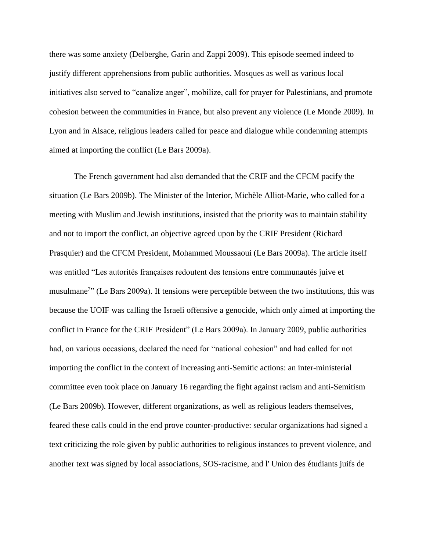there was some anxiety (Delberghe, Garin and Zappi 2009). This episode seemed indeed to justify different apprehensions from public authorities. Mosques as well as various local initiatives also served to "canalize anger", mobilize, call for prayer for Palestinians, and promote cohesion between the communities in France, but also prevent any violence (Le Monde 2009). In Lyon and in Alsace, religious leaders called for peace and dialogue while condemning attempts aimed at importing the conflict (Le Bars 2009a).

The French government had also demanded that the CRIF and the CFCM pacify the situation (Le Bars 2009b). The Minister of the Interior, Michèle Alliot-Marie, who called for a meeting with Muslim and Jewish institutions, insisted that the priority was to maintain stability and not to import the conflict, an objective agreed upon by the CRIF President (Richard Prasquier) and the CFCM President, Mohammed Moussaoui (Le Bars 2009a). The article itself was entitled "Les autorités françaises redoutent des tensions entre communautés juive et musulmane<sup>7</sup>" (Le Bars 2009a). If tensions were perceptible between the two institutions, this was because the UOIF was calling the Israeli offensive a genocide, which only aimed at importing the conflict in France for the CRIF President" (Le Bars 2009a). In January 2009, public authorities had, on various occasions, declared the need for "national cohesion" and had called for not importing the conflict in the context of increasing anti-Semitic actions: an inter-ministerial committee even took place on January 16 regarding the fight against racism and anti-Semitism (Le Bars 2009b). However, different organizations, as well as religious leaders themselves, feared these calls could in the end prove counter-productive: secular organizations had signed a text criticizing the role given by public authorities to religious instances to prevent violence, and another text was signed by local associations, SOS-racisme, and l' Union des étudiants juifs de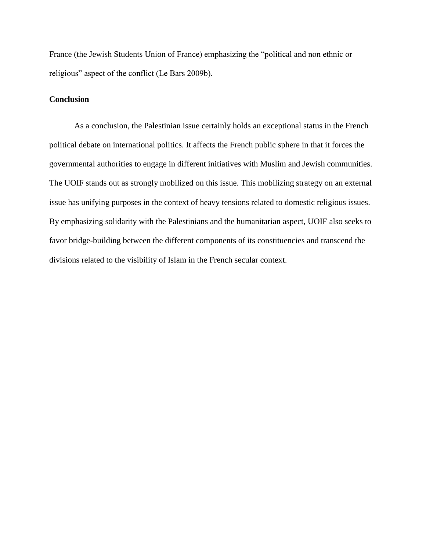France (the Jewish Students Union of France) emphasizing the "political and non ethnic or religious" aspect of the conflict (Le Bars 2009b).

#### **Conclusion**

As a conclusion, the Palestinian issue certainly holds an exceptional status in the French political debate on international politics. It affects the French public sphere in that it forces the governmental authorities to engage in different initiatives with Muslim and Jewish communities. The UOIF stands out as strongly mobilized on this issue. This mobilizing strategy on an external issue has unifying purposes in the context of heavy tensions related to domestic religious issues. By emphasizing solidarity with the Palestinians and the humanitarian aspect, UOIF also seeks to favor bridge-building between the different components of its constituencies and transcend the divisions related to the visibility of Islam in the French secular context.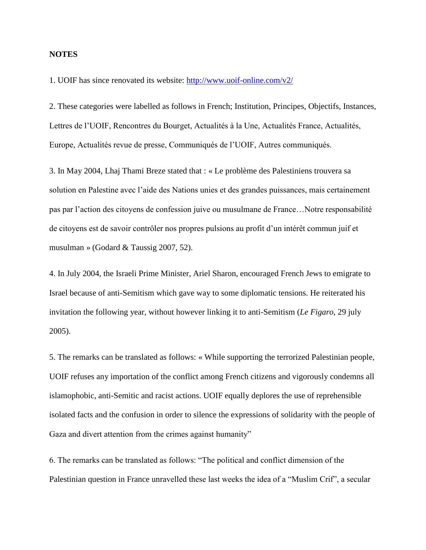#### **NOTES**

1. UOIF has since renovated its website:<http://www.uoif-online.com/v2/>

2. These categories were labelled as follows in French; Institution, Principes, Objectifs, Instances, Lettres de l'UOIF, Rencontres du Bourget, Actualités à la Une, Actualités France, Actualités, Europe, Actualités revue de presse, Communiqués de l'UOIF, Autres communiqués.

3. In May 2004, Lhaj Thami Breze stated that : « Le problème des Palestiniens trouvera sa solution en Palestine avec l'aide des Nations unies et des grandes puissances, mais certainement pas par l'action des citoyens de confession juive ou musulmane de France…Notre responsabilité de citoyens est de savoir contrôler nos propres pulsions au profit d'un intérêt commun juif et musulman » (Godard & Taussig 2007, 52).

4. In July 2004, the Israeli Prime Minister, Ariel Sharon, encouraged French Jews to emigrate to Israel because of anti-Semitism which gave way to some diplomatic tensions. He reiterated his invitation the following year, without however linking it to anti-Semitism (*Le Figaro,* 29 july 2005).

5. The remarks can be translated as follows: « While supporting the terrorized Palestinian people, UOIF refuses any importation of the conflict among French citizens and vigorously condemns all islamophobic, anti-Semitic and racist actions. UOIF equally deplores the use of reprehensible isolated facts and the confusion in order to silence the expressions of solidarity with the people of Gaza and divert attention from the crimes against humanity"

6. The remarks can be translated as follows: "The political and conflict dimension of the Palestinian question in France unravelled these last weeks the idea of a "Muslim Crif", a secular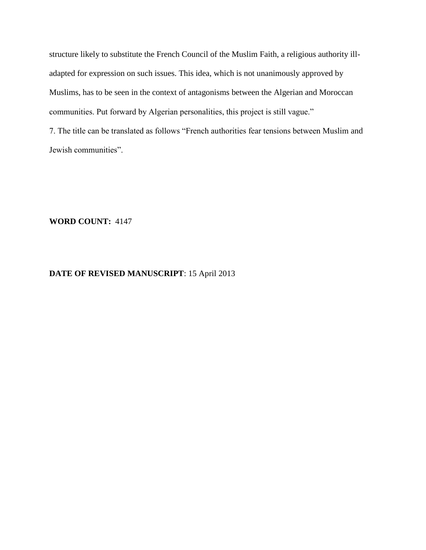structure likely to substitute the French Council of the Muslim Faith, a religious authority illadapted for expression on such issues. This idea, which is not unanimously approved by Muslims, has to be seen in the context of antagonisms between the Algerian and Moroccan communities. Put forward by Algerian personalities, this project is still vague."

7. The title can be translated as follows "French authorities fear tensions between Muslim and Jewish communities".

**WORD COUNT:** 4147

#### **DATE OF REVISED MANUSCRIPT**: 15 April 2013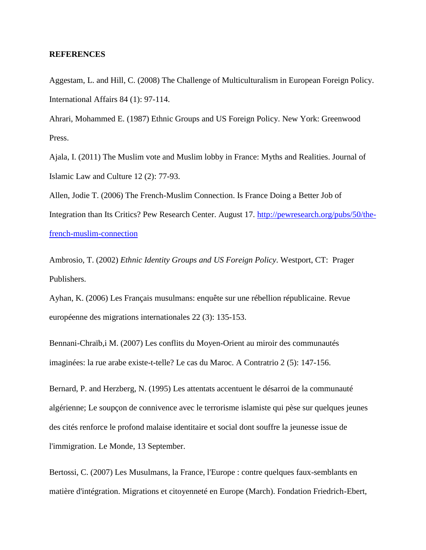#### **REFERENCES**

Aggestam, L. and Hill, C. (2008) The Challenge of Multiculturalism in European Foreign Policy. International Affairs 84 (1): 97-114.

Ahrari, Mohammed E. (1987) Ethnic Groups and US Foreign Policy. New York: Greenwood Press.

Ajala, I. (2011) The Muslim vote and Muslim lobby in France: Myths and Realities. Journal of Islamic Law and Culture 12 (2): 77-93.

Allen, Jodie T. (2006) The French-Muslim Connection. Is France Doing a Better Job of Integration than Its Critics? Pew Research Center. August 17. [http://pewresearch.org/pubs/50/the](http://pewresearch.org/pubs/50/the-french-muslim-connection)[french-muslim-connection](http://pewresearch.org/pubs/50/the-french-muslim-connection)

Ambrosio, T. (2002) *Ethnic Identity Groups and US Foreign Policy*. Westport, CT: Prager Publishers.

Ayhan, K. (2006) Les Français musulmans: enquête sur une rébellion républicaine. Revue européenne des migrations internationales 22 (3): 135-153.

Bennani-Chraïb,i M. (2007) Les conflits du Moyen-Orient au miroir des communautés imaginées: la rue arabe existe-t-telle? Le cas du Maroc. A Contratrio 2 (5): 147-156.

Bernard, P. and Herzberg, N. (1995) Les attentats accentuent le désarroi de la communauté algérienne; Le soupçon de connivence avec le terrorisme islamiste qui pèse sur quelques jeunes des cités renforce le profond malaise identitaire et social dont souffre la jeunesse issue de l'immigration. Le Monde, 13 September.

Bertossi, C. (2007) Les Musulmans, la France, l'Europe : contre quelques faux-semblants en matière d'intégration. Migrations et citoyenneté en Europe (March). Fondation Friedrich-Ebert,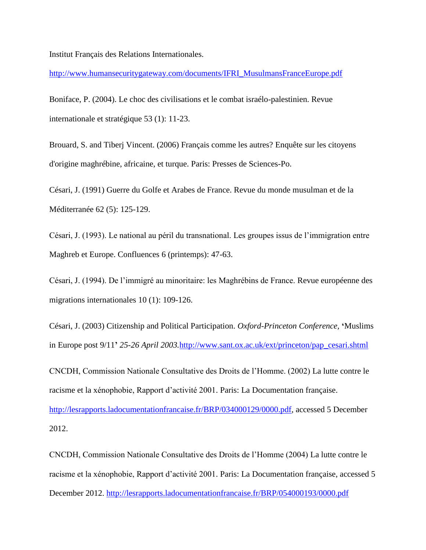Institut Français des Relations Internationales.

[http://www.humansecuritygateway.com/documents/IFRI\\_MusulmansFranceEurope.pdf](http://www.humansecuritygateway.com/documents/IFRI_MusulmansFranceEurope.pdf)

Boniface, P. (2004). Le choc des civilisations et le combat israélo-palestinien. Revue internationale et stratégique 53 (1): 11-23.

Brouard, S. and Tiberj Vincent. (2006) Français comme les autres? Enquête sur les citoyens d'origine maghrébine, africaine, et turque. Paris: Presses de Sciences-Po.

Césari, J. (1991) Guerre du Golfe et Arabes de France. Revue du monde musulman et de la Méditerranée 62 (5): 125-129.

Césari, J. (1993). Le national au péril du transnational. Les groupes issus de l'immigration entre Maghreb et Europe. Confluences 6 (printemps): 47-63.

Césari, J. (1994). De l'immigré au minoritaire: les Maghrébins de France. Revue européenne des migrations internationales 10 (1): 109-126.

Césari, J. (2003) Citizenship and Political Participation. *Oxford-Princeton Conference,* **'**Muslims in Europe post 9/11**'** *25-26 April 2003.*[http://www.sant.ox.ac.uk/ext/princeton/pap\\_cesari.shtml](http://www.sant.ox.ac.uk/ext/princeton/pap_cesari.shtml)

CNCDH, Commission Nationale Consultative des Droits de l'Homme. (2002) La lutte contre le racisme et la xénophobie, Rapport d'activité 2001. Paris: La Documentation française.

[http://lesrapports.ladocumentationfrancaise.fr/BRP/034000129/0000.pdf,](http://lesrapports.ladocumentationfrancaise.fr/BRP/034000129/0000.pdf) accessed 5 December 2012.

CNCDH, Commission Nationale Consultative des Droits de l'Homme (2004) La lutte contre le racisme et la xénophobie, Rapport d'activité 2001. Paris: La Documentation française, accessed 5 December 2012.<http://lesrapports.ladocumentationfrancaise.fr/BRP/054000193/0000.pdf>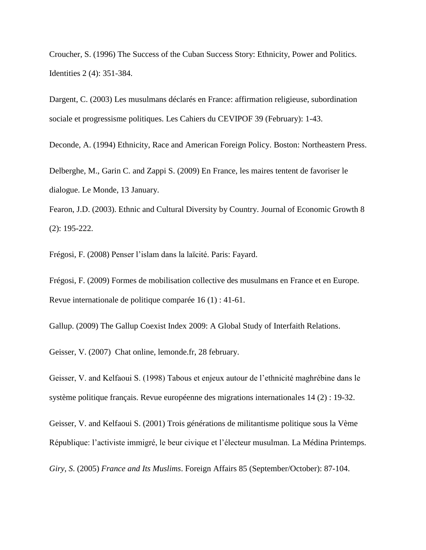Croucher, S. (1996) The Success of the Cuban Success Story: Ethnicity, Power and Politics. Identities 2 (4): 351-384.

Dargent, C. (2003) Les musulmans déclarés en France: affirmation religieuse, subordination sociale et progressisme politiques. Les Cahiers du CEVIPOF 39 (February): 1-43.

Deconde, A. (1994) Ethnicity, Race and American Foreign Policy. Boston: Northeastern Press.

Delberghe, M., Garin C. and Zappi S. (2009) En France, les maires tentent de favoriser le dialogue. Le Monde, 13 January.

Fearon, J.D. (2003). Ethnic and Cultural Diversity by Country. Journal of Economic Growth 8 (2): 195-222.

Frégosi, F. (2008) Penser l'islam dans la laïcité. Paris: Fayard.

Frégosi, F. (2009) Formes de mobilisation collective des musulmans en France et en Europe. Revue internationale de politique comparée 16 (1) : 41-61.

Gallup. (2009) The Gallup Coexist Index 2009: A Global Study of Interfaith Relations.

Geisser, V. (2007) Chat online, lemonde.fr, 28 february.

Geisser, V. and Kelfaoui S. (1998) Tabous et enjeux autour de l'ethnicité maghrébine dans le système politique français. Revue européenne des migrations internationales 14 (2) : 19-32.

Geisser, V. and Kelfaoui S. (2001) Trois générations de militantisme politique sous la Vème République: l'activiste immigré, le beur civique et l'électeur musulman. La Médina Printemps.

*Giry*, *S*. (2005) *France and Its Muslims*. Foreign Affairs 85 (September/October): 87-104.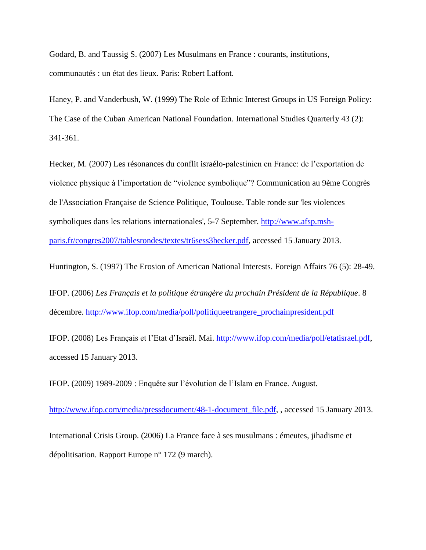Godard, B. and Taussig S. (2007) Les Musulmans en France : courants, institutions, communautés : un état des lieux. Paris: Robert Laffont.

Haney, P. and Vanderbush, W. (1999) The Role of Ethnic Interest Groups in US Foreign Policy: The Case of the Cuban American National Foundation. International Studies Quarterly 43 (2): 341-361.

Hecker, M. (2007) Les résonances du conflit israélo-palestinien en France: de l'exportation de violence physique à l'importation de "violence symbolique"? Communication au 9ème Congrès de l'Association Française de Science Politique, Toulouse. Table ronde sur 'les violences symboliques dans les relations internationales', 5-7 September. [http://www.afsp.msh](http://www.afsp.msh-paris.fr/congres2007/tablesrondes/textes/tr6sess3hecker.pdf)[paris.fr/congres2007/tablesrondes/textes/tr6sess3hecker.pdf,](http://www.afsp.msh-paris.fr/congres2007/tablesrondes/textes/tr6sess3hecker.pdf) accessed 15 January 2013.

Huntington, S. (1997) The Erosion of American National Interests. Foreign Affairs 76 (5): 28-49.

IFOP. (2006) *Les Français et la politique étrangère du prochain Président de la République*. 8 décembre. [http://www.ifop.com/media/poll/politiqueetrangere\\_prochainpresident.pdf](http://www.ifop.com/media/poll/politiqueetrangere_prochainpresident.pdf)

IFOP. (2008) Les Français et l'Etat d'Israël. Mai. [http://www.ifop.com/media/poll/etatisrael.pdf,](http://www.ifop.com/media/poll/etatisrael.pdf) accessed 15 January 2013.

IFOP. (2009) 1989-2009 : Enquête sur l'évolution de l'Islam en France. August.

http://www.ifop.com/media/pressdocument/48-1-document file.pdf, , accessed 15 January 2013.

International Crisis Group. (2006) La France face à ses musulmans : émeutes, jihadisme et dépolitisation. Rapport Europe n° 172 (9 march).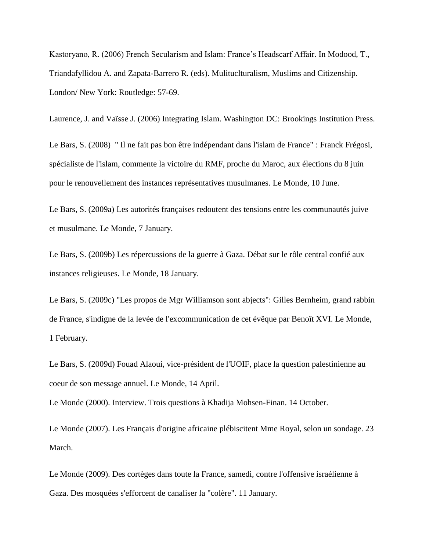Kastoryano, R. (2006) French Secularism and Islam: France's Headscarf Affair. In Modood, T., Triandafyllidou A. and Zapata-Barrero R. (eds). Mulituclturalism, Muslims and Citizenship. London/ New York: Routledge: 57-69.

Le Bars, S. (2008) " Il ne fait pas bon être indépendant dans l'islam de France" : Franck Frégosi, spécialiste de l'islam, commente la victoire du RMF, proche du Maroc, aux élections du 8 juin pour le renouvellement des instances représentatives musulmanes. Le Monde, 10 June.

Laurence, J. and Vaïsse J. (2006) Integrating Islam. Washington DC: Brookings Institution Press.

Le Bars, S. (2009a) Les autorités françaises redoutent des tensions entre les communautés juive et musulmane. Le Monde, 7 January.

Le Bars, S. (2009b) Les répercussions de la guerre à Gaza. Débat sur le rôle central confié aux instances religieuses. Le Monde, 18 January.

Le Bars, S. (2009c) "Les propos de Mgr Williamson sont abjects": Gilles Bernheim, grand rabbin de France, s'indigne de la levée de l'excommunication de cet évêque par Benoît XVI. Le Monde, 1 February.

Le Bars, S. (2009d) Fouad Alaoui, vice-président de l'UOIF, place la question palestinienne au coeur de son message annuel. Le Monde, 14 April.

Le Monde (2000). Interview. Trois questions à Khadija Mohsen-Finan. 14 October.

Le Monde (2007). Les Français d'origine africaine plébiscitent Mme Royal, selon un sondage. 23 March.

Le Monde (2009). Des cortèges dans toute la France, samedi, contre l'offensive israélienne à Gaza. Des mosquées s'efforcent de canaliser la "colère". 11 January.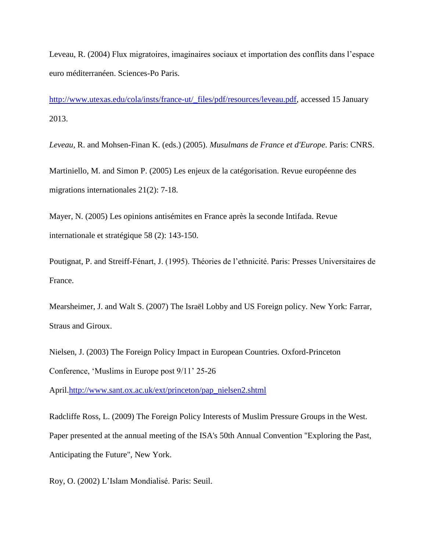Leveau, R. (2004) Flux migratoires, imaginaires sociaux et importation des conflits dans l'espace euro méditerranéen. Sciences-Po Paris.

[http://www.utexas.edu/cola/insts/france-ut/\\_files/pdf/resources/leveau.pdf,](http://www.utexas.edu/cola/insts/france-ut/_files/pdf/resources/leveau.pdf) accessed 15 January 2013.

*Leveau,* R. and Mohsen-Finan K. (eds.) (2005). *Musulmans de France et d'Europe*. Paris: CNRS.

Martiniello, M. and Simon P. (2005) Les enjeux de la catégorisation. Revue européenne des migrations internationales 21(2): 7-18.

Mayer, N. (2005) Les opinions antisémites en France après la seconde Intifada. Revue internationale et stratégique 58 (2): 143-150.

Poutignat, P. and Streiff-Fénart, J. (1995). Théories de l'ethnicité. Paris: Presses Universitaires de France.

Mearsheimer, J. and Walt S. (2007) The Israël Lobby and US Foreign policy*.* New York: Farrar, Straus and Giroux.

Nielsen, J. (2003) The Foreign Policy Impact in European Countries. Oxford-Princeton Conference, 'Muslims in Europe post 9/11' 25-26

April[.http://www.sant.ox.ac.uk/ext/princeton/pap\\_nielsen2.shtml](http://www.sant.ox.ac.uk/ext/princeton/pap_nielsen2.shtml)

Radcliffe Ross, L. (2009) The Foreign Policy Interests of Muslim Pressure Groups in the West. Paper presented at the annual meeting of the ISA's 50th Annual Convention "Exploring the Past, Anticipating the Future", New York.

Roy, O. (2002) L'Islam Mondialisé. Paris: Seuil.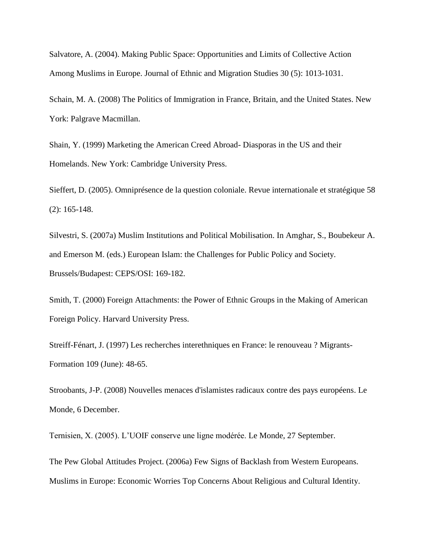Salvatore, A. (2004). Making Public Space: Opportunities and Limits of Collective Action Among Muslims in Europe. Journal of Ethnic and Migration Studies 30 (5): 1013-1031.

Schain, M. A. (2008) The Politics of Immigration in France, Britain, and the United States. New York: Palgrave Macmillan.

Shain, Y. (1999) Marketing the American Creed Abroad- Diasporas in the US and their Homelands. New York: Cambridge University Press.

Sieffert, D. (2005). Omniprésence de la question coloniale. Revue internationale et stratégique 58 (2): 165-148.

Silvestri, S. (2007a) Muslim Institutions and Political Mobilisation. In Amghar, S., Boubekeur A. and Emerson M. (eds.) European Islam: the Challenges for Public Policy and Society. Brussels/Budapest: CEPS/OSI: 169-182.

Smith, T. (2000) Foreign Attachments: the Power of Ethnic Groups in the Making of American Foreign Policy. Harvard University Press.

Streiff-Fénart, J. (1997) Les recherches interethniques en France: le renouveau ? Migrants-Formation 109 (June): 48-65.

Stroobants, J-P. (2008) Nouvelles menaces d'islamistes radicaux contre des pays européens. Le Monde, 6 December.

Ternisien, X. (2005). L'UOIF conserve une ligne modérée. Le Monde, 27 September.

The Pew Global Attitudes Project. (2006a) Few Signs of Backlash from Western Europeans. Muslims in Europe: Economic Worries Top Concerns About Religious and Cultural Identity.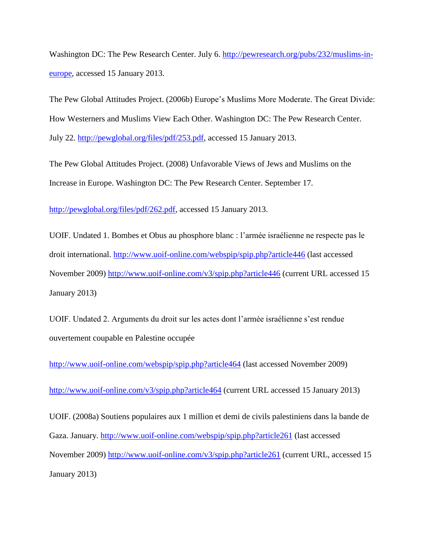Washington DC: The Pew Research Center. July 6. [http://pewresearch.org/pubs/232/muslims-in](http://pewresearch.org/pubs/232/muslims-in-europe)[europe,](http://pewresearch.org/pubs/232/muslims-in-europe) accessed 15 January 2013.

The Pew Global Attitudes Project. (2006b) Europe's Muslims More Moderate. The Great Divide: How Westerners and Muslims View Each Other. Washington DC: The Pew Research Center. July 22. [http://pewglobal.org/files/pdf/253.pdf,](http://pewglobal.org/files/pdf/253.pdf) accessed 15 January 2013.

The Pew Global Attitudes Project. (2008) Unfavorable Views of Jews and Muslims on the Increase in Europe. Washington DC: The Pew Research Center. September 17.

[http://pewglobal.org/files/pdf/262.pdf,](http://pewglobal.org/files/pdf/262.pdf) accessed 15 January 2013.

UOIF. Undated 1. Bombes et Obus au phosphore blanc : l'armée israélienne ne respecte pas le droit international.<http://www.uoif-online.com/webspip/spip.php?article446> (last accessed November 2009)<http://www.uoif-online.com/v3/spip.php?article446> (current URL accessed 15 January 2013)

UOIF. Undated 2. Arguments du droit sur les actes dont l'armée israélienne s'est rendue ouvertement coupable en Palestine occupée

<http://www.uoif-online.com/webspip/spip.php?article464> (last accessed November 2009)

http://www<u>.uoif-online.com/v3/spip.php?article464</u> (current URL accessed 15 January 2013)

UOIF. (2008a) Soutiens populaires aux 1 million et demi de civils palestiniens dans la bande de Gaza. January.<http://www.uoif-online.com/webspip/spip.php?article261> (last accessed November 2009)<http://www.uoif-online.com/v3/spip.php?article261> (current URL, accessed 15 January 2013)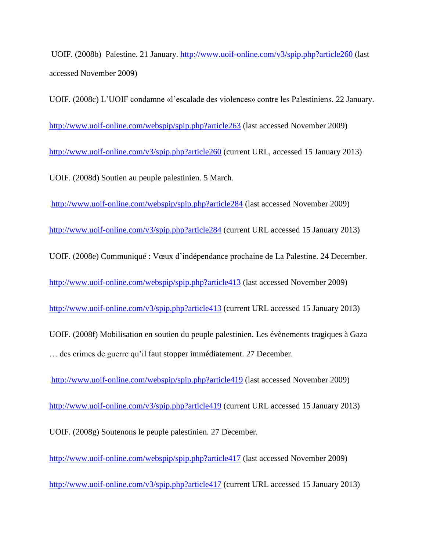UOIF. (2008b) Palestine. 21 January.<http://www.uoif-online.com/v3/spip.php?article260> (last accessed November 2009)

UOIF. (2008c) L'UOIF condamne «l'escalade des violences» contre les Palestiniens. 22 January. <http://www.uoif-online.com/webspip/spip.php?article263> (last accessed November 2009) <http://www.uoif-online.com/v3/spip.php?article260> (current URL, accessed 15 January 2013) UOIF. (2008d) Soutien au peuple palestinien. 5 March.

<http://www.uoif-online.com/webspip/spip.php?article284> (last accessed November 2009)

<http://www.uoif-online.com/v3/spip.php?article284> (current URL accessed 15 January 2013)

UOIF. (2008e) Communiqué : Vœux d'indépendance prochaine de La Palestine. 24 December.

<http://www.uoif-online.com/webspip/spip.php?article413> (last accessed November 2009)

<http://www.uoif-online.com/v3/spip.php?article413> (current URL accessed 15 January 2013)

UOIF. (2008f) Mobilisation en soutien du peuple palestinien. Les évènements tragiques à Gaza … des crimes de guerre qu'il faut stopper immédiatement. 27 December.

<http://www.uoif-online.com/webspip/spip.php?article419> (last accessed November 2009)

<http://www.uoif-online.com/v3/spip.php?article419> (current URL accessed 15 January 2013)

UOIF. (2008g) Soutenons le peuple palestinien. 27 December.

<http://www.uoif-online.com/webspip/spip.php?article417> (last accessed November 2009)

<http://www.uoif-online.com/v3/spip.php?article417> (current URL accessed 15 January 2013)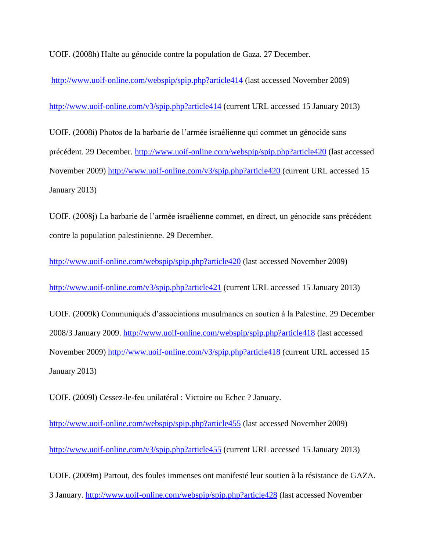UOIF. (2008h) Halte au génocide contre la population de Gaza. 27 December.

<http://www.uoif-online.com/webspip/spip.php?article414> (last accessed November 2009)

<http://www.uoif-online.com/v3/spip.php?article414> (current URL accessed 15 January 2013)

UOIF. (2008i) Photos de la barbarie de l'armée israélienne qui commet un génocide sans précédent. 29 December. <http://www.uoif-online.com/webspip/spip.php?article420> (last accessed November 2009)<http://www.uoif-online.com/v3/spip.php?article420> (current URL accessed 15 January 2013)

UOIF. (2008j) La barbarie de l'armée israélienne commet, en direct, un génocide sans précédent contre la population palestinienne. 29 December.

<http://www.uoif-online.com/webspip/spip.php?article420> (last accessed November 2009)

<http://www.uoif-online.com/v3/spip.php?article421> (current URL accessed 15 January 2013)

UOIF. (2009k) Communiqués d'associations musulmanes en soutien à la Palestine. 29 December 2008/3 January 2009.<http://www.uoif-online.com/webspip/spip.php?article418> (last accessed November 2009)<http://www.uoif-online.com/v3/spip.php?article418> (current URL accessed 15 January 2013)

UOIF. (2009l) Cessez-le-feu unilatéral : Victoire ou Echec ? January.

<http://www.uoif-online.com/webspip/spip.php?article455> (last accessed November 2009) <http://www.uoif-online.com/v3/spip.php?article455> (current URL accessed 15 January 2013) UOIF. (2009m) Partout, des foules immenses ont manifesté leur soutien à la résistance de GAZA. 3 January.<http://www.uoif-online.com/webspip/spip.php?article428> (last accessed November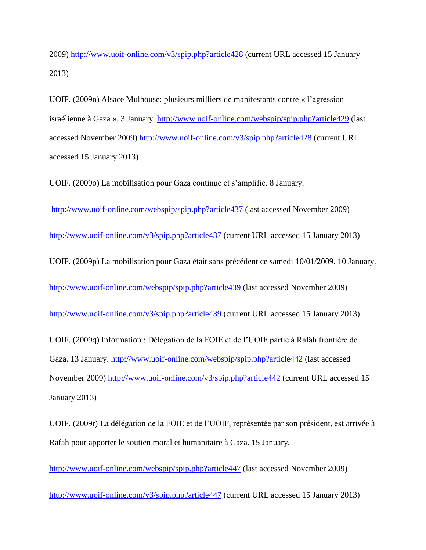2009)<http://www.uoif-online.com/v3/spip.php?article428> (current URL accessed 15 January 2013)

UOIF. (2009n) Alsace Mulhouse: plusieurs milliers de manifestants contre « l'agression israélienne à Gaza ». 3 January.<http://www.uoif-online.com/webspip/spip.php?article429> (last accessed November 2009)<http://www.uoif-online.com/v3/spip.php?article428> (current URL accessed 15 January 2013)

UOIF. (2009o) La mobilisation pour Gaza continue et s'amplifie. 8 January.

<http://www.uoif-online.com/webspip/spip.php?article437> (last accessed November 2009)

<http://www.uoif-online.com/v3/spip.php?article437> (current URL accessed 15 January 2013)

UOIF. (2009p) La mobilisation pour Gaza était sans précédent ce samedi 10/01/2009. 10 January.

<http://www.uoif-online.com/webspip/spip.php?article439> (last accessed November 2009)

<http://www.uoif-online.com/v3/spip.php?article439> (current URL accessed 15 January 2013)

UOIF. (2009q) Information : Délégation de la FOIE et de l'UOIF partie à Rafah frontière de Gaza. 13 January.<http://www.uoif-online.com/webspip/spip.php?article442> (last accessed November 2009)<http://www.uoif-online.com/v3/spip.php?article442> (current URL accessed 15 January 2013)

UOIF. (2009r) La délégation de la FOIE et de l'UOIF, représentée par son président, est arrivée à Rafah pour apporter le soutien moral et humanitaire à Gaza. 15 January.

<http://www.uoif-online.com/webspip/spip.php?article447> (last accessed November 2009)

<http://www.uoif-online.com/v3/spip.php?article447> (current URL accessed 15 January 2013)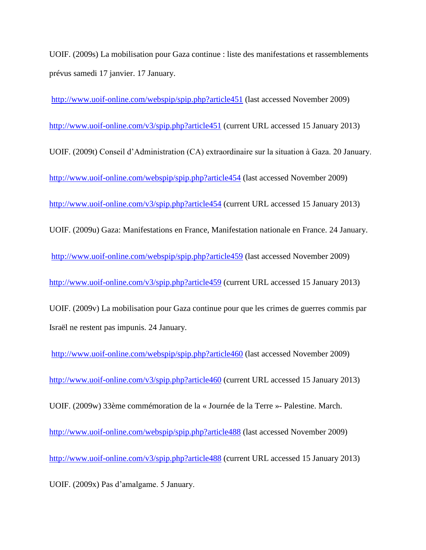UOIF. (2009s) La mobilisation pour Gaza continue : liste des manifestations et rassemblements prévus samedi 17 janvier. 17 January.

<http://www.uoif-online.com/webspip/spip.php?article451> (last accessed November 2009) <http://www.uoif-online.com/v3/spip.php?article451> (current URL accessed 15 January 2013) UOIF. (2009t) Conseil d'Administration (CA) extraordinaire sur la situation à Gaza. 20 January. <http://www.uoif-online.com/webspip/spip.php?article454> (last accessed November 2009) <http://www.uoif-online.com/v3/spip.php?article454> (current URL accessed 15 January 2013) UOIF. (2009u) Gaza: Manifestations en France, Manifestation nationale en France. 24 January. <http://www.uoif-online.com/webspip/spip.php?article459> (last accessed November 2009) <http://www.uoif-online.com/v3/spip.php?article459> (current URL accessed 15 January 2013)

UOIF. (2009v) La mobilisation pour Gaza continue pour que les crimes de guerres commis par Israël ne restent pas impunis. 24 January.

<http://www.uoif-online.com/webspip/spip.php?article460> (last accessed November 2009) <http://www.uoif-online.com/v3/spip.php?article460> (current URL accessed 15 January 2013) UOIF. (2009w) 33ème commémoration de la « Journée de la Terre »- Palestine. March. <http://www.uoif-online.com/webspip/spip.php?article488> (last accessed November 2009) <http://www.uoif-online.com/v3/spip.php?article488> (current URL accessed 15 January 2013) UOIF. (2009x) Pas d'amalgame. 5 January.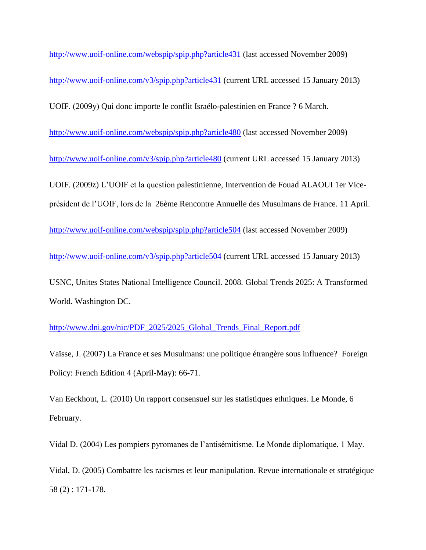<http://www.uoif-online.com/webspip/spip.php?article431> (last accessed November 2009) <http://www.uoif-online.com/v3/spip.php?article431> (current URL accessed 15 January 2013) UOIF. (2009y) Qui donc importe le conflit Israélo-palestinien en France ? 6 March. <http://www.uoif-online.com/webspip/spip.php?article480> (last accessed November 2009) <http://www.uoif-online.com/v3/spip.php?article480> (current URL accessed 15 January 2013) UOIF. (2009z) L'UOIF et la question palestinienne, Intervention de Fouad ALAOUI 1er Viceprésident de l'UOIF, lors de la 26ème Rencontre Annuelle des Musulmans de France. 11 April. <http://www.uoif-online.com/webspip/spip.php?article504> (last accessed November 2009) <http://www.uoif-online.com/v3/spip.php?article504> (current URL accessed 15 January 2013) USNC, Unites States National Intelligence Council. 2008*.* Global Trends 2025: A Transformed World. Washington DC.

[http://www.dni.gov/nic/PDF\\_2025/2025\\_Global\\_Trends\\_Final\\_Report.pdf](http://www.dni.gov/nic/PDF_2025/2025_Global_Trends_Final_Report.pdf)

Vaïsse, J. (2007) La France et ses Musulmans: une politique étrangère sous influence? Foreign Policy: French Edition 4 (April-May): 66-71.

Van Eeckhout, L. (2010) Un rapport consensuel sur les statistiques ethniques. Le Monde, 6 February.

Vidal D. (2004) Les pompiers pyromanes de l'antisémitisme. Le Monde diplomatique, 1 May.

Vidal, D. (2005) Combattre les racismes et leur manipulation. Revue internationale et stratégique 58 (2) : 171-178.